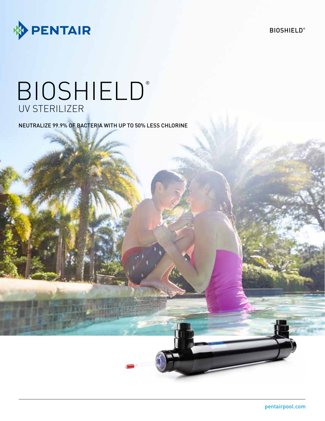

# **BIOSHIELD®** UV STERILIZER

NEUTRALIZE 99.9% OF BACTERIA WITH UP TO 50% LESS CHLORINE

**BIOSHIELD®**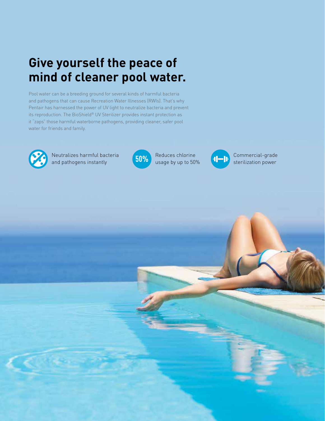# **Give yourself the peace of mind of cleaner pool water.**

Pool water can be a breeding ground for several kinds of harmful bacteria and pathogens that can cause Recreation Water Illnesses (RWIs). That's why Pentair has harnessed the power of UV light to neutralize bacteria and prevent its reproduction. The BioShield® UV Sterilizer provides instant protection as it "zaps" those harmful waterborne pathogens, providing cleaner, safer pool water for friends and family.



Neutralizes harmful bacteria and pathogens instantly



Reduces chlorine usage by up to 50%



Commercial-grade sterilization power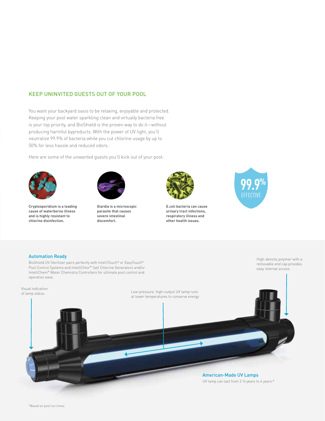### KEEP UNINVITED GUESTS OUT OF YOUR POOL

You want your backyard oasis to be relaxing, enjoyable and protected. Keeping your pool water sparkling clean and virtually bacteria free is your top priority, and BioShield is the proven way to do it—without producing harmful byproducts. With the power of UV light, you'll neutralize 99.9% of bacteria while you cut chlorine usage by up to 50% for less hassle and reduced odors.

Here are some of the unwanted guests you'll kick out of your pool:



**Cryptosporidium is a leading cause of waterborne illness and is highly resistant to chlorine disinfection.**



**Giardia is a microscopic parasite that causes severe intestinal discomfort.**



**E.coli bacteria can cause urinary tract infections, respiratory illness and other health issues.**



#### Automation Ready

BioShield UV Sterilizer pairs perfectly with IntelliTouch® or EasyTouch® Pool Control Systems and IntelliChlor® Salt Chlorine Generators and/or IntelliChem® Water Chemistry Controllers for ultimate pool control and operation ease.

High-density polymer with a removable end cap provides easy internal access